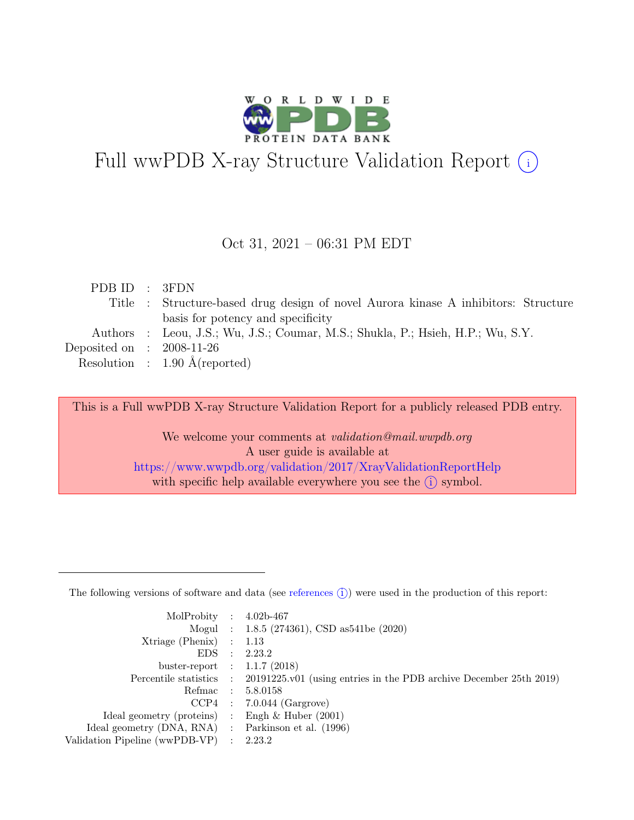

# Full wwPDB X-ray Structure Validation Report  $(i)$

#### Oct 31, 2021 – 06:31 PM EDT

| PDB ID : 3FDN               |                                                                                    |
|-----------------------------|------------------------------------------------------------------------------------|
|                             | Title : Structure-based drug design of novel Aurora kinase A inhibitors: Structure |
|                             | basis for potency and specificity                                                  |
|                             | Authors : Leou, J.S.; Wu, J.S.; Coumar, M.S.; Shukla, P.; Hsieh, H.P.; Wu, S.Y.    |
| Deposited on : $2008-11-26$ |                                                                                    |
|                             | Resolution : $1.90 \text{ Å}$ (reported)                                           |
|                             |                                                                                    |

This is a Full wwPDB X-ray Structure Validation Report for a publicly released PDB entry.

We welcome your comments at *validation@mail.wwpdb.org* A user guide is available at <https://www.wwpdb.org/validation/2017/XrayValidationReportHelp> with specific help available everywhere you see the  $(i)$  symbol.

The following versions of software and data (see [references](https://www.wwpdb.org/validation/2017/XrayValidationReportHelp#references)  $(i)$ ) were used in the production of this report:

| MolProbity : $4.02b-467$                            |                                                                                            |
|-----------------------------------------------------|--------------------------------------------------------------------------------------------|
|                                                     |                                                                                            |
|                                                     | Mogul : 1.8.5 (274361), CSD as 541 be (2020)                                               |
| $Xtriangle (Phenix)$ : 1.13                         |                                                                                            |
|                                                     | EDS : 2.23.2                                                                               |
| buster-report : $1.1.7$ (2018)                      |                                                                                            |
|                                                     | Percentile statistics : 20191225.v01 (using entries in the PDB archive December 25th 2019) |
| Refmac : 5.8.0158                                   |                                                                                            |
|                                                     | $CCP4$ : 7.0.044 (Gargrove)                                                                |
| Ideal geometry (proteins) : Engh $\&$ Huber (2001)  |                                                                                            |
| Ideal geometry (DNA, RNA) : Parkinson et al. (1996) |                                                                                            |
| Validation Pipeline (wwPDB-VP) : 2.23.2             |                                                                                            |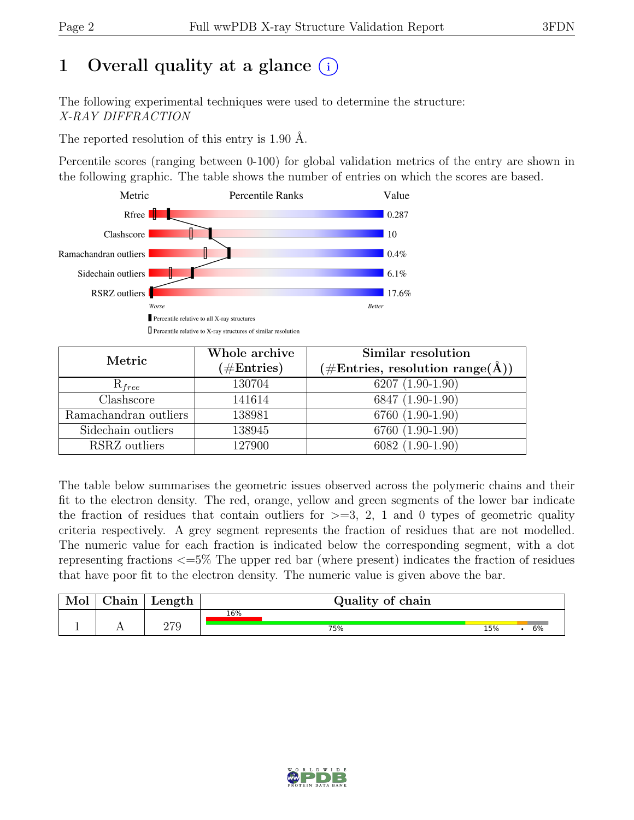# 1 Overall quality at a glance  $(i)$

The following experimental techniques were used to determine the structure: X-RAY DIFFRACTION

The reported resolution of this entry is 1.90 Å.

Percentile scores (ranging between 0-100) for global validation metrics of the entry are shown in the following graphic. The table shows the number of entries on which the scores are based.



| Metric                    | Whole archive<br>$(\#Entries)$ | Similar resolution<br>$(\# \text{Entries}, \text{ resolution } \text{range}(\AA))$ |  |  |
|---------------------------|--------------------------------|------------------------------------------------------------------------------------|--|--|
| $R_{free}$                | 130704                         | $6207(1.90-1.90)$                                                                  |  |  |
| $\overline{\text{Class}}$ | 141614                         | 6847 (1.90-1.90)                                                                   |  |  |
| Ramachandran outliers     | 138981                         | 6760 (1.90-1.90)                                                                   |  |  |
| Sidechain outliers        | 138945                         | 6760 (1.90-1.90)                                                                   |  |  |
| RSRZ outliers             | 127900                         | 6082 (1.90-1.90)                                                                   |  |  |

The table below summarises the geometric issues observed across the polymeric chains and their fit to the electron density. The red, orange, yellow and green segments of the lower bar indicate the fraction of residues that contain outliers for  $\geq$ =3, 2, 1 and 0 types of geometric quality criteria respectively. A grey segment represents the fraction of residues that are not modelled. The numeric value for each fraction is indicated below the corresponding segment, with a dot representing fractions <=5% The upper red bar (where present) indicates the fraction of residues that have poor fit to the electron density. The numeric value is given above the bar.

| Mol | $\sim$ 1<br>hain' | Length | Quality of chain |     |  |    |  |  |
|-----|-------------------|--------|------------------|-----|--|----|--|--|
|     |                   | חדר    | 16%<br>75%       | 15% |  | 6% |  |  |

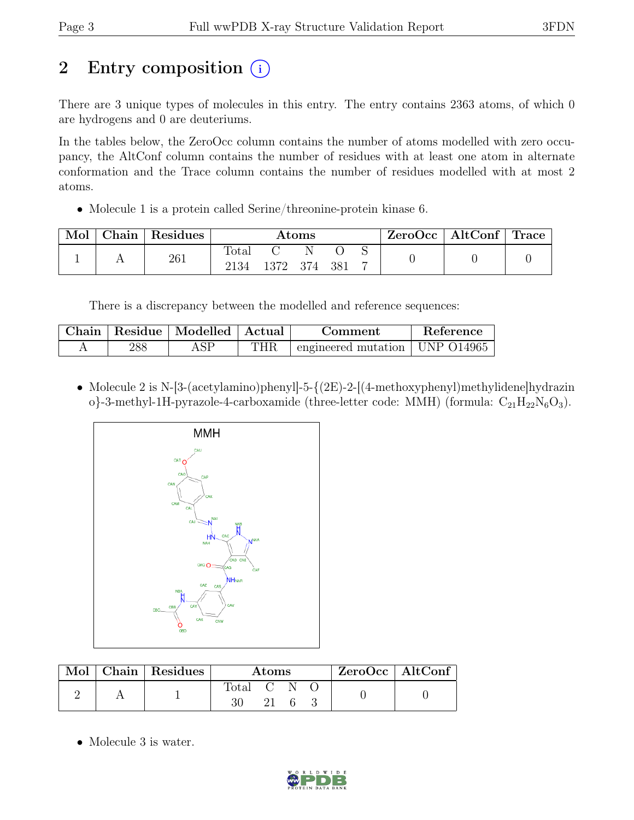# 2 Entry composition (i)

There are 3 unique types of molecules in this entry. The entry contains 2363 atoms, of which 0 are hydrogens and 0 are deuteriums.

In the tables below, the ZeroOcc column contains the number of atoms modelled with zero occupancy, the AltConf column contains the number of residues with at least one atom in alternate conformation and the Trace column contains the number of residues modelled with at most 2 atoms.

• Molecule 1 is a protein called Serine/threonine-protein kinase 6.

| Mol | Chain | Residues | $\rm{Atoms}$  |      |       |       | $\text{ZeroOcc} \mid \text{AltConf} \mid \text{Trace}$ |  |  |
|-----|-------|----------|---------------|------|-------|-------|--------------------------------------------------------|--|--|
|     |       | 261      | Total<br>2134 | 1372 | - 374 | - 381 |                                                        |  |  |

There is a discrepancy between the modelled and reference sequences:

| Chain |     | Residue   Modelled   Actual |                    | Comment                                    | Reference |
|-------|-----|-----------------------------|--------------------|--------------------------------------------|-----------|
|       | 288 | ASF                         | $\Gamma \text{HR}$ | $\pm$ engineered mutation $\pm$ UNP O14965 |           |

• Molecule 2 is N-[3-(acetylamino)phenyl]-5-{(2E)-2-[(4-methoxyphenyl)methylidene]hydrazin o}-3-methyl-1H-pyrazole-4-carboxamide (three-letter code: MMH) (formula:  $C_{21}H_{22}N_6O_3$ ).



| Mol | Chain Residues | <b>Atoms</b> |  |  |  | ZeroOcc   AltConf |  |
|-----|----------------|--------------|--|--|--|-------------------|--|
|     |                | Total C N    |  |  |  |                   |  |

• Molecule 3 is water.

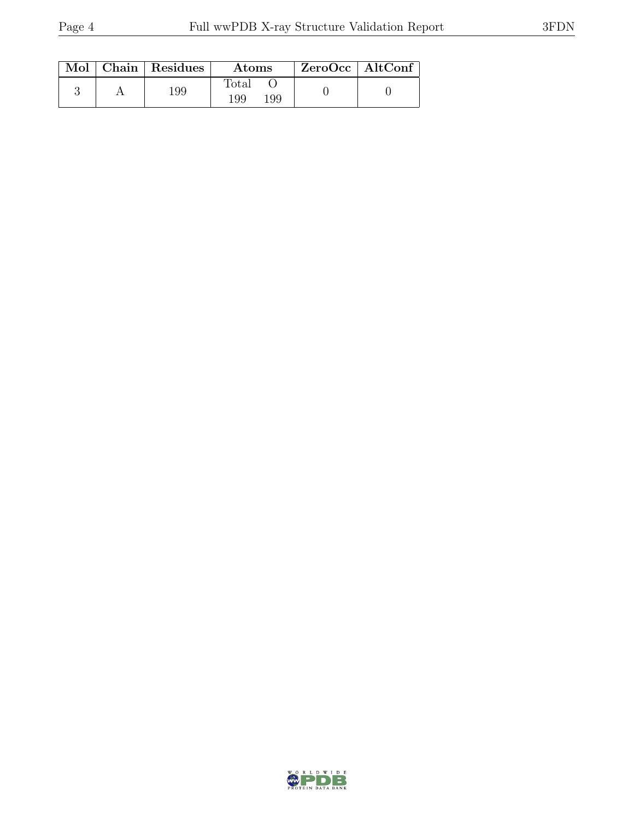|  | $Mol$   Chain   Residues | <b>Atoms</b>                 | $\rm ZeroOcc \mid AltConf$ |
|--|--------------------------|------------------------------|----------------------------|
|  | 199                      | $\text{Total}$<br>199<br>199 |                            |

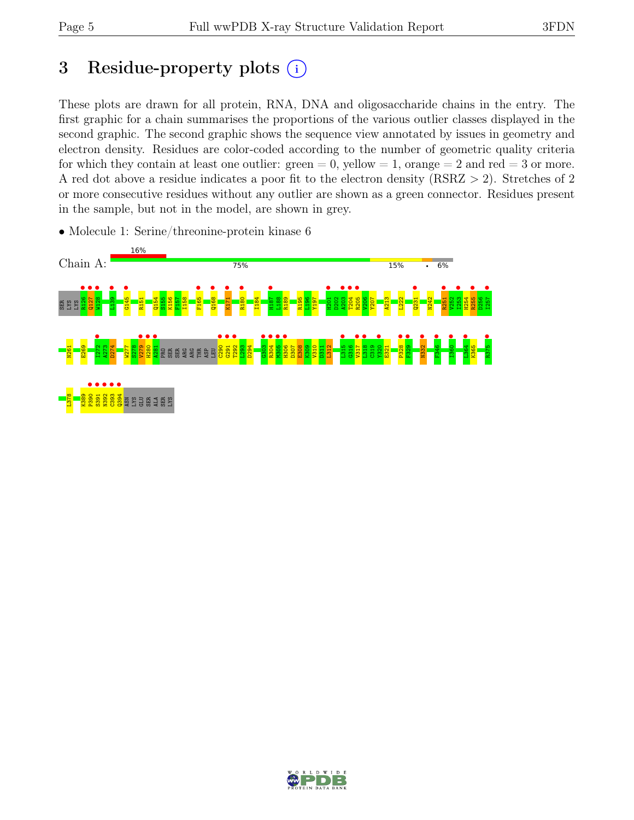# 3 Residue-property plots  $(i)$

These plots are drawn for all protein, RNA, DNA and oligosaccharide chains in the entry. The first graphic for a chain summarises the proportions of the various outlier classes displayed in the second graphic. The second graphic shows the sequence view annotated by issues in geometry and electron density. Residues are color-coded according to the number of geometric quality criteria for which they contain at least one outlier:  $green = 0$ , yellow  $= 1$ , orange  $= 2$  and red  $= 3$  or more. A red dot above a residue indicates a poor fit to the electron density (RSRZ > 2). Stretches of 2 or more consecutive residues without any outlier are shown as a green connector. Residues present in the sample, but not in the model, are shown in grey.



• Molecule 1: Serine/threonine-protein kinase 6

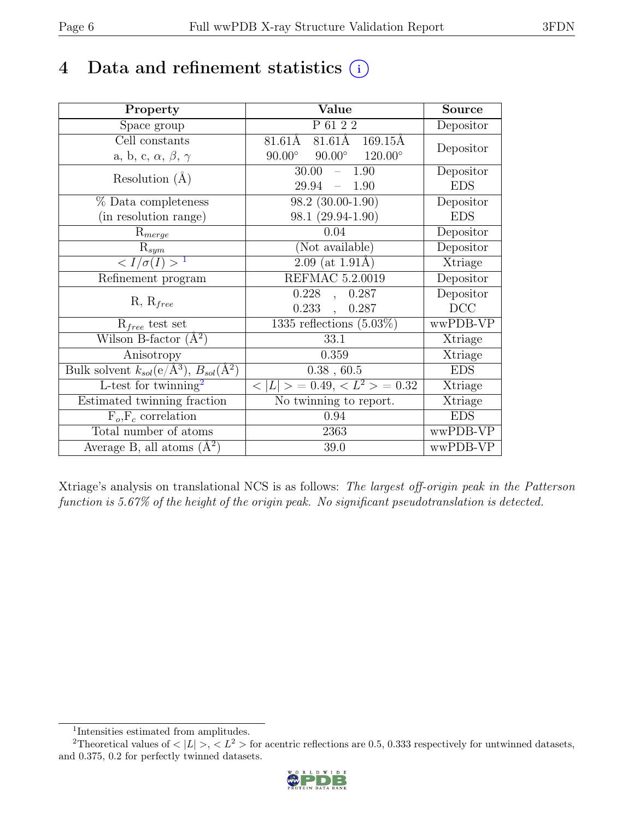# 4 Data and refinement statistics  $(i)$

| Property                                                             | Value                                              | <b>Source</b> |
|----------------------------------------------------------------------|----------------------------------------------------|---------------|
| Space group                                                          | P 61 2 2                                           | Depositor     |
| Cell constants                                                       | 81.61Å<br>81.61Å<br>$169.15\text{\AA}$             | Depositor     |
| a, b, c, $\alpha$ , $\beta$ , $\gamma$                               | $90.00^\circ$<br>$90.00^\circ$<br>$120.00^{\circ}$ |               |
| Resolution $(A)$                                                     | 30.00<br>1.90                                      | Depositor     |
|                                                                      | 29.94<br>1.90<br>$\equiv$                          | <b>EDS</b>    |
| % Data completeness                                                  | 98.2 (30.00-1.90)                                  | Depositor     |
| (in resolution range)                                                | 98.1 (29.94-1.90)                                  | <b>EDS</b>    |
| $R_{merge}$                                                          | 0.04                                               | Depositor     |
| $\mathrm{R}_{sym}$                                                   | (Not available)                                    | Depositor     |
| $\langle I/\sigma(I) \rangle$ <sup>1</sup>                           | $2.09$ (at 1.91Å)                                  | Xtriage       |
| Refinement program                                                   | REFMAC 5.2.0019                                    | Depositor     |
|                                                                      | 0.228<br>0.287<br>$\mathcal{L}$                    | Depositor     |
| $R, R_{free}$                                                        | 0.233<br>0.287<br>$\mathcal{L}_{\mathcal{A}}$      | DCC           |
| $R_{free}$ test set                                                  | 1335 reflections $(5.03\%)$                        | wwPDB-VP      |
| Wilson B-factor $(\AA^2)$                                            | 33.1                                               | Xtriage       |
| Anisotropy                                                           | 0.359                                              | Xtriage       |
| Bulk solvent $k_{sol}(e/\mathring{A}^3)$ , $B_{sol}(\mathring{A}^2)$ | $0.38$ , 60.5                                      | <b>EDS</b>    |
| L-test for twinning <sup>2</sup>                                     | $< L >$ = 0.49, $< L^2 >$ = 0.32                   | Xtriage       |
| Estimated twinning fraction                                          | No twinning to report.                             | Xtriage       |
| $F_o, F_c$ correlation                                               | 0.94                                               | <b>EDS</b>    |
| Total number of atoms                                                | 2363                                               | wwPDB-VP      |
| Average B, all atoms $(A^2)$                                         | 39.0                                               | wwPDB-VP      |

Xtriage's analysis on translational NCS is as follows: The largest off-origin peak in the Patterson function is 5.67% of the height of the origin peak. No significant pseudotranslation is detected.

<sup>&</sup>lt;sup>2</sup>Theoretical values of  $\langle |L| \rangle$ ,  $\langle L^2 \rangle$  for acentric reflections are 0.5, 0.333 respectively for untwinned datasets, and 0.375, 0.2 for perfectly twinned datasets.



<span id="page-5-1"></span><span id="page-5-0"></span><sup>1</sup> Intensities estimated from amplitudes.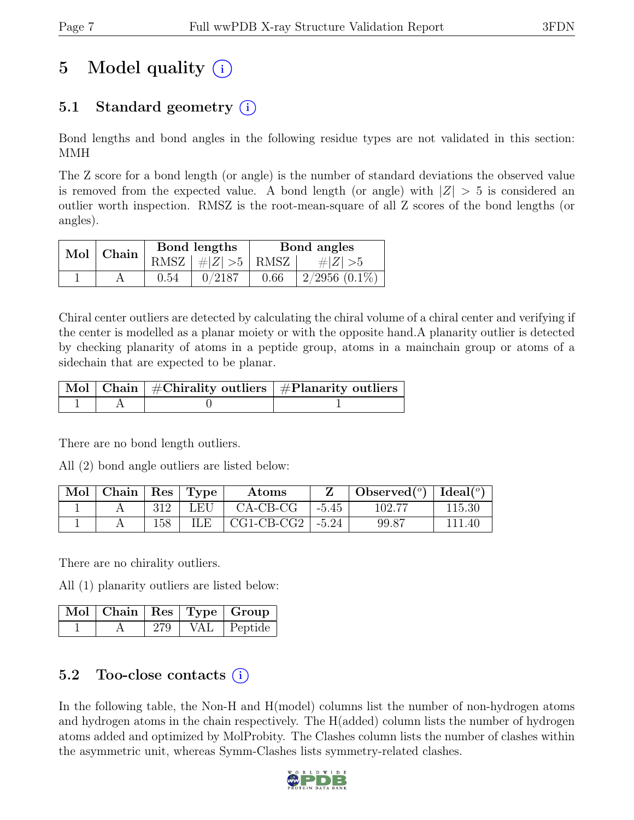# 5 Model quality  $(i)$

# 5.1 Standard geometry (i)

Bond lengths and bond angles in the following residue types are not validated in this section: MMH

The Z score for a bond length (or angle) is the number of standard deviations the observed value is removed from the expected value. A bond length (or angle) with  $|Z| > 5$  is considered an outlier worth inspection. RMSZ is the root-mean-square of all Z scores of the bond lengths (or angles).

| Mol   Chain |      | Bond lengths             | Bond angles |                    |  |
|-------------|------|--------------------------|-------------|--------------------|--|
|             |      | RMSZ $ #Z  > 5$ RMSZ $ $ |             | $\# Z  > 5$        |  |
|             | 0.54 | 0/2187                   | 0.66        | $2/2956$ $(0.1\%)$ |  |

Chiral center outliers are detected by calculating the chiral volume of a chiral center and verifying if the center is modelled as a planar moiety or with the opposite hand.A planarity outlier is detected by checking planarity of atoms in a peptide group, atoms in a mainchain group or atoms of a sidechain that are expected to be planar.

|  | $\mid$ Mol $\mid$ Chain $\mid$ #Chirality outliers $\mid$ #Planarity outliers $\mid$ |
|--|--------------------------------------------------------------------------------------|
|  |                                                                                      |

There are no bond length outliers.

All (2) bond angle outliers are listed below:

| Mol | Chain |     | $Res$ Type | Atoms        |         | Observed $(°)$ | Ideal $(°)$ |
|-----|-------|-----|------------|--------------|---------|----------------|-------------|
|     |       | 312 | LEU        | $CA-CB-CG$   | $-5.45$ | 102.77         | 115.30      |
|     |       | 158 | ILE.       | $CG1-CB-CG2$ | $-5.24$ | 99.87          | 111.40      |

There are no chirality outliers.

All (1) planarity outliers are listed below:

|  |     |         | $\lceil$ Mol $\rceil$ Chain $\mid$ Res $\mid$ Type $\mid$ Group |
|--|-----|---------|-----------------------------------------------------------------|
|  | 279 | $VAL$ i | Peptide                                                         |

### 5.2 Too-close contacts (i)

In the following table, the Non-H and H(model) columns list the number of non-hydrogen atoms and hydrogen atoms in the chain respectively. The H(added) column lists the number of hydrogen atoms added and optimized by MolProbity. The Clashes column lists the number of clashes within the asymmetric unit, whereas Symm-Clashes lists symmetry-related clashes.

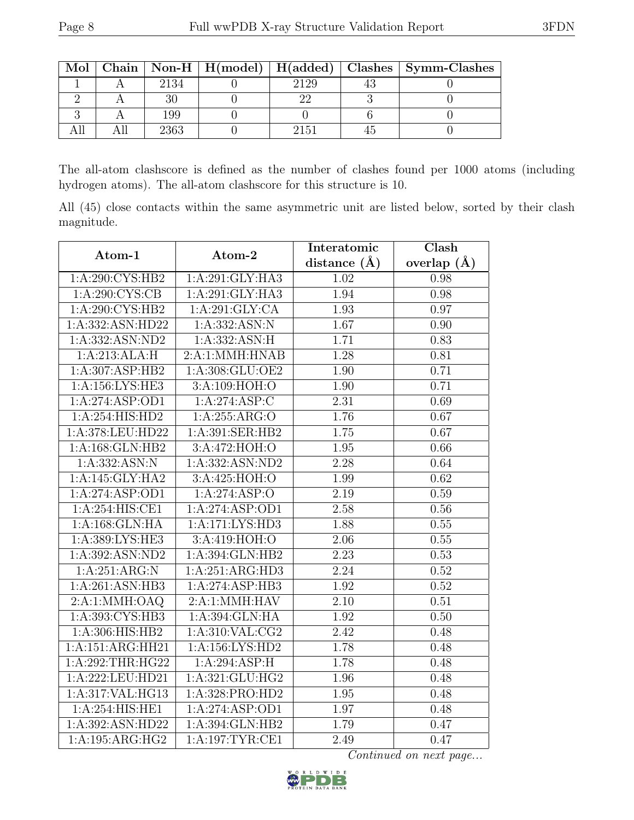| Mol |      |      | Chain   Non-H   H(model)   H(added)   Clashes   Symm-Clashes |
|-----|------|------|--------------------------------------------------------------|
|     | 2134 | 2129 |                                                              |
|     |      |      |                                                              |
|     | 199  |      |                                                              |
|     | 2363 | 2151 |                                                              |

The all-atom clashscore is defined as the number of clashes found per 1000 atoms (including hydrogen atoms). The all-atom clashscore for this structure is 10.

All (45) close contacts within the same asymmetric unit are listed below, sorted by their clash magnitude.

| Atom-1             | Atom-2                       | Interatomic       | Clash           |
|--------------------|------------------------------|-------------------|-----------------|
|                    |                              | distance $(A)$    | overlap $(\AA)$ |
| 1:A:290:CYS:HB2    | 1:A:291:GLY:HA3              | 1.02              | 0.98            |
| 1: A:290: CYS:CB   | 1:A:291:GLY:HA3              | 1.94              | 0.98            |
| 1:A:290:CYS:HB2    | 1:A:291:GLY:CA               | 1.93              | 0.97            |
| 1:A:332:ASN:HD22   | 1:A:332:ASN:N                | 1.67              | 0.90            |
| 1:A:332:ASN:ND2    | 1: A: 332: ASN: H            | 1.71              | 0.83            |
| 1:A:213:ALA:H      | 2:A:1:MMH:HNAB               | 1.28              | 0.81            |
| 1:A:307:ASP:HB2    | 1:A:308:GLU:OE2              | 1.90              | 0.71            |
| 1:A:156:LYS:HE3    | 3:A:109:HOH:O                | 1.90              | 0.71            |
| 1:A:274:ASP:OD1    | $1:A:274:\overline{ASP:C}$   | 2.31              | 0.69            |
| 1: A:254:HIS:HD2   | 1:A:255:ARG:O                | 1.76              | 0.67            |
| 1:A:378:LEU:HD22   | 1:A:391:SER:HB2              | 1.75              | 0.67            |
| 1:A:168:GLN:HB2    | 3: A:472: HOH:O              | 1.95              | 0.66            |
| 1:A:332:ASN:N      | 1:A:332:ASN:ND2              | 2.28              | 0.64            |
| 1:A:145:GLY:HA2    | 3:A:425:HOH:O                | 1.99              | 0.62            |
| 1:A:274:ASP:OD1    | 1:A:274:ASP:O                | 2.19              | 0.59            |
| 1:A:254:HIS:CE1    | 1:A:274:ASP:OD1              | 2.58              | 0.56            |
| 1:A:168:GLN:HA     | 1: A:171: LYS: HD3           | 1.88              | 0.55            |
| 1:A:389:LYS:HE3    | 3:A:419:HOH:O                | 2.06              | 0.55            |
| 1:A:392:ASN:ND2    | 1:A:394:GLN:HB2              | 2.23              | 0.53            |
| 1:A:251:ARG:N      | 1:A:251:ARG:HD3              | 2.24              | 0.52            |
| 1:A:261:ASN:HB3    | 1:A:274:ASP:HB3              | 1.92              | 0.52            |
| 2:A:1:MMH:OAQ      | 2:A:1:MMH:HAV                | 2.10              | 0.51            |
| 1:A:393:CYS:HB3    | 1:A:394:GLN:HA               | 1.92              | 0.50            |
| 1:A:306:HIS:HB2    | 1: A:310: VAL: CG2           | $\overline{2.42}$ | 0.48            |
| 1:A:151:ARG:HH21   | 1:A:156:LYS:HD2              | 1.78              | 0.48            |
| 1:A:292:THR:HG22   | 1:A:294:ASP:H                | 1.78              | 0.48            |
| 1:A:222:LEU:HD21   | 1:A:321:GLU:HG2              | 1.96              | 0.48            |
| 1:A:317:VAL:HG13   | 1:A:328:PRO:HD2              | $1.95\,$          | 0.48            |
| 1: A:254: HIS: HE1 | 1:A:274:ASP:OD1              | 1.97              | 0.48            |
| 1:A:392:ASN:HD22   | $1:A:394:GLN:H\overline{B2}$ | 1.79              | 0.47            |
| 1:A:195:ARG:HG2    | 1:A:197:TYR:CE1              | 2.49              | 0.47            |

Continued on next page...

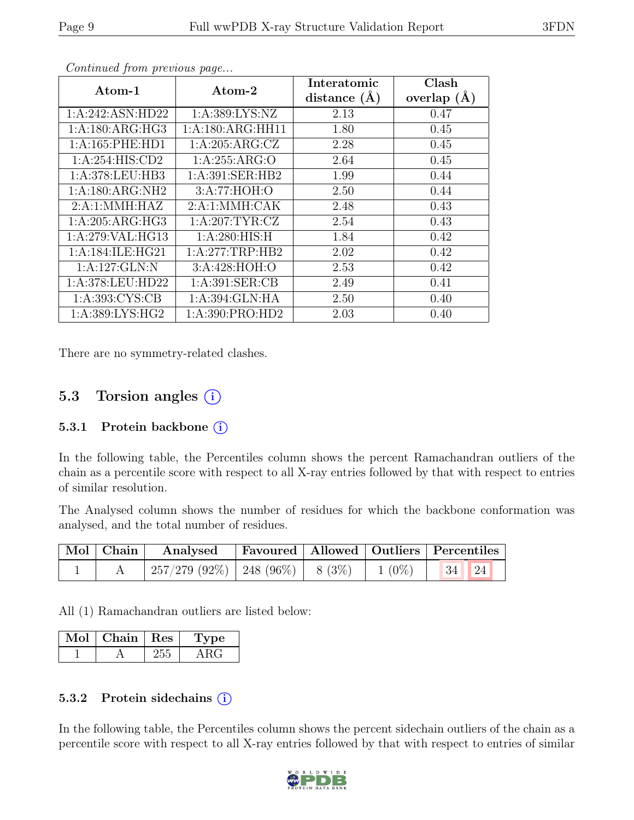| Atom-1           | $\rm{Atom{\text{-}2}}$ | Interatomic    | Clash         |
|------------------|------------------------|----------------|---------------|
|                  |                        | distance $(A)$ | overlap $(A)$ |
| 1:A:242:ASN:HD22 | 1: A: 389: LYS: NZ     | 2.13           | 0.47          |
| 1:A:180:ARG:HG3  | 1:A:180:ARG:HH11       | 1.80           | 0.45          |
| 1:A:165:PHE:HD1  | 1:A:205:ARG:CZ         | 2.28           | 0.45          |
| 1:A:254:HIS:CD2  | 1: A:255: ARG:O        | 2.64           | 0.45          |
| 1:A:378:LEU:HB3  | 1:A:391:SER:HB2        | 1.99           | 0.44          |
| 1:A:180:ARG:NH2  | 3:A:77:HOH:O           | 2.50           | 0.44          |
| 2:A:1:MMH:HAZ    | 2:A:1:MMH:CAK          | 2.48           | 0.43          |
| 1:A:205:ARG:HG3  | 1: A:207:TYR:CZ        | 2.54           | 0.43          |
| 1:A:279:VAL:HG13 | 1: A:280: HIS:H        | 1.84           | 0.42          |
| 1:A:184:ILE:HG21 | 1:A:277:TRP:HB2        | 2.02           | 0.42          |
| 1:A:127:GLN:N    | 3:A:428:HOH:O          | 2.53           | 0.42          |
| 1:A:378:LEU:HD22 | 1: A:391: SER:CB       | 2.49           | 0.41          |
| 1: A:393: CYS:CB | 1:A:394:GLN:HA         | 2.50           | 0.40          |
| 1:A:389:LYS:HG2  | 1:A:390:PRO:HD2        | 2.03           | 0.40          |

Continued from previous page...

There are no symmetry-related clashes.

### 5.3 Torsion angles (i)

#### 5.3.1 Protein backbone  $(i)$

In the following table, the Percentiles column shows the percent Ramachandran outliers of the chain as a percentile score with respect to all X-ray entries followed by that with respect to entries of similar resolution.

The Analysed column shows the number of residues for which the backbone conformation was analysed, and the total number of residues.

|  | Mol   Chain   Analysed   Favoured   Allowed   Outliers   Percentiles |  |  |
|--|----------------------------------------------------------------------|--|--|
|  | $\mid$ 257/279 (92%)   248 (96%)   8 (3%)   1 (0%)   34   24         |  |  |

All (1) Ramachandran outliers are listed below:

| VIol | Chain | $\perp$ Res | рe |
|------|-------|-------------|----|
|      |       |             |    |

#### 5.3.2 Protein side chains  $(i)$

In the following table, the Percentiles column shows the percent sidechain outliers of the chain as a percentile score with respect to all X-ray entries followed by that with respect to entries of similar

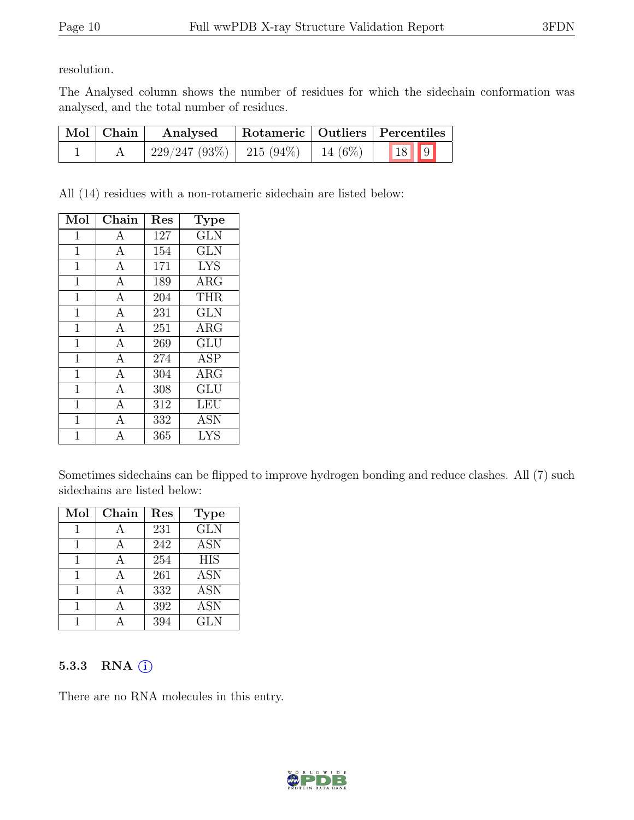resolution.

The Analysed column shows the number of residues for which the sidechain conformation was analysed, and the total number of residues.

| $\mid$ Mol $\mid$ Chain | Analysed                      |  | Rotameric   Outliers   Percentiles |  |
|-------------------------|-------------------------------|--|------------------------------------|--|
|                         | $229/247 (93\%)$   215 (94\%) |  | $14(6\%)$ 18 9                     |  |

All (14) residues with a non-rotameric sidechain are listed below:

| Mol            | Chain          | Res | Type                               |
|----------------|----------------|-----|------------------------------------|
| 1              | A              | 127 | <b>GLN</b>                         |
| $\overline{1}$ | $\mathbf{A}$   | 154 | <b>GLN</b>                         |
| $\mathbf{1}$   | $\mathbf{A}$   | 171 | <b>LYS</b>                         |
| $\overline{1}$ | $\overline{A}$ | 189 | $\overline{\text{A}}\text{RG}$     |
| $\mathbf{1}$   | $\mathbf{A}$   | 204 | THR.                               |
| $\overline{1}$ | $\overline{A}$ | 231 | <b>GLN</b>                         |
| $\mathbf{1}$   | $\mathbf{A}$   | 251 | <b>ARG</b>                         |
| $\overline{1}$ | $\overline{A}$ | 269 | <b>GLU</b>                         |
| $\mathbf{1}$   | $\mathbf{A}$   | 274 | <b>ASP</b>                         |
| $\mathbf{1}$   | $\overline{A}$ | 304 | $\rm{ARG}$                         |
| $\overline{1}$ | $\mathbf{A}$   | 308 | $\mathrm{GL}\overline{\mathrm{U}}$ |
| $\mathbf{1}$   | $\overline{A}$ | 312 | LEU                                |
| $\mathbf 1$    | А              | 332 | <b>ASN</b>                         |
| 1              | A              | 365 | LYS                                |

Sometimes sidechains can be flipped to improve hydrogen bonding and reduce clashes. All (7) such sidechains are listed below:

| Mol | Chain | Res | <b>Type</b>             |
|-----|-------|-----|-------------------------|
|     |       | 231 | $\overline{\text{GLN}}$ |
|     |       | 242 | <b>ASN</b>              |
|     |       | 254 | <b>HIS</b>              |
|     |       | 261 | <b>ASN</b>              |
|     |       | 332 | <b>ASN</b>              |
|     |       | 392 | <b>ASN</b>              |
|     |       | 394 | <b>GLN</b>              |

#### 5.3.3 RNA  $(i)$

There are no RNA molecules in this entry.

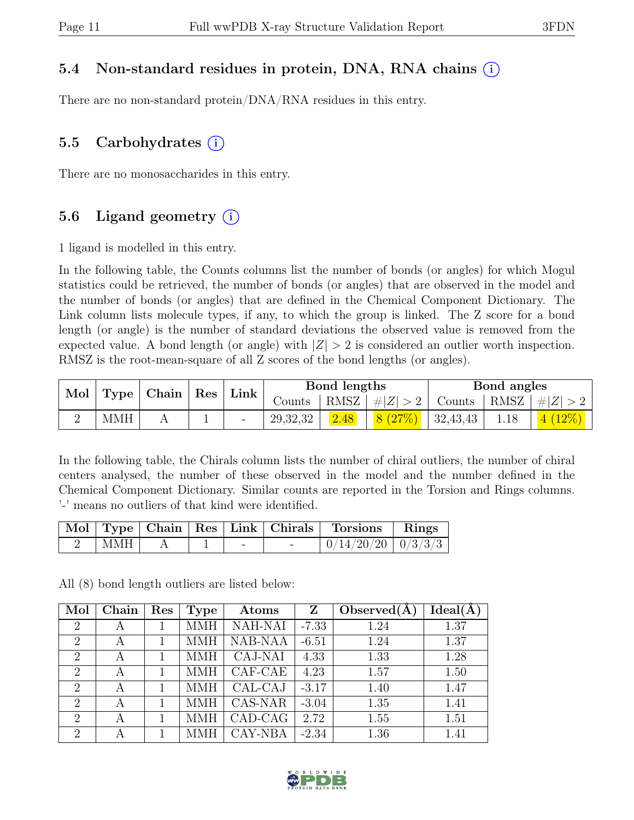### 5.4 Non-standard residues in protein, DNA, RNA chains (i)

There are no non-standard protein/DNA/RNA residues in this entry.

### 5.5 Carbohydrates  $(i)$

There are no monosaccharides in this entry.

### 5.6 Ligand geometry  $(i)$

1 ligand is modelled in this entry.

In the following table, the Counts columns list the number of bonds (or angles) for which Mogul statistics could be retrieved, the number of bonds (or angles) that are observed in the model and the number of bonds (or angles) that are defined in the Chemical Component Dictionary. The Link column lists molecule types, if any, to which the group is linked. The Z score for a bond length (or angle) is the number of standard deviations the observed value is removed from the expected value. A bond length (or angle) with  $|Z| > 2$  is considered an outlier worth inspection. RMSZ is the root-mean-square of all Z scores of the bond lengths (or angles).

| Mol |            | $\vert$ Type $\vert$ Chain $\vert$ Res $\vert$ Link $\vert$ |        |                   | Bond lengths |        |          | Bond angles                      |           |
|-----|------------|-------------------------------------------------------------|--------|-------------------|--------------|--------|----------|----------------------------------|-----------|
|     |            |                                                             | Counts | RMSZ <sup>1</sup> | #Z  > 2      |        |          | Counts   RMSZ $\vert \#  Z  > 2$ |           |
|     | <b>MMH</b> |                                                             |        | 29,32,32          | 2.48         | 8(27%) | 32,43,43 | 1.18                             | $4(12\%)$ |

In the following table, the Chirals column lists the number of chiral outliers, the number of chiral centers analysed, the number of these observed in the model and the number defined in the Chemical Component Dictionary. Similar counts are reported in the Torsion and Rings columns. '-' means no outliers of that kind were identified.

|     |  |                          | Mol   Type   Chain   Res   Link   Chirals   Torsions   Rings |  |
|-----|--|--------------------------|--------------------------------------------------------------|--|
| MMH |  | $\overline{\phantom{0}}$ | $0/14/20/20$   $0/3/3/3$                                     |  |

All (8) bond length outliers are listed below:

| Mol                         | Chain | $\operatorname{Res}$ | <b>Type</b> | Atoms          | Z       | Observed $(A)$ | Ideal(A) |
|-----------------------------|-------|----------------------|-------------|----------------|---------|----------------|----------|
| $\overline{2}$              | А     |                      | <b>MMH</b>  | <b>NAH-NAI</b> | $-7.33$ | 1.24           | 1.37     |
| $\overline{2}$              | А     |                      | <b>MMH</b>  | <b>NAB-NAA</b> | $-6.51$ | 1.24           | 1.37     |
| $\overline{2}$              | А     |                      | MMH         | CAJ-NAI        | 4.33    | 1.33           | 1.28     |
| $\overline{2}$              | А     |                      | MMH         | CAF-CAE        | 4.23    | 1.57           | 1.50     |
| $\overline{2}$              | А     |                      | MMH         | CAL-CAJ        | $-3.17$ | 1.40           | 1.47     |
| $\overline{2}$              | A     |                      | MMH         | CAS-NAR        | $-3.04$ | 1.35           | 1.41     |
| $\overline{2}$              | A     |                      | MMH         | CAD-CAG        | 2.72    | 1.55           | 1.51     |
| $\mathcal{D}_{\mathcal{L}}$ | А     |                      |             | CAY-NBA        | $-2.34$ | 1.36           | 1.41     |

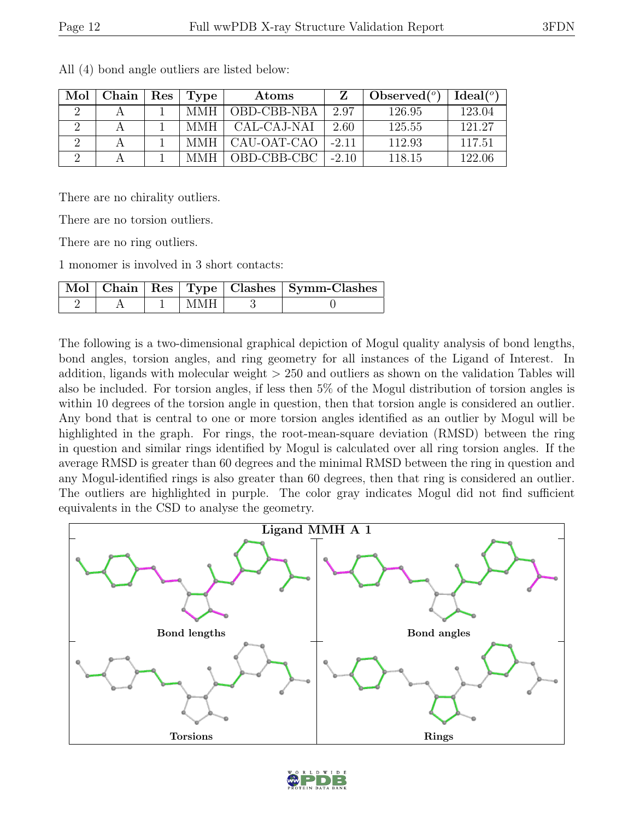| Mol | Chain | Res | Type | Atoms       |         | Observed $(°)$ | $Ideal({}^o)$ |
|-----|-------|-----|------|-------------|---------|----------------|---------------|
|     |       |     | MMH  | OBD-CBB-NBA | 2.97    | 126.95         | 123.04        |
|     |       |     | MMH  | CAL-CAJ-NAI | 2.60    | 125.55         | 121.27        |
|     |       |     | MMH  | CAU-OAT-CAO | $-2.11$ | 112.93         | 117.51        |
|     |       |     | MMH  | OBD-CBB-CBC | $-2.10$ | 118.15         | 122.06        |

All (4) bond angle outliers are listed below:

There are no chirality outliers.

There are no torsion outliers.

There are no ring outliers.

1 monomer is involved in 3 short contacts:

|  |         | Mol Chain   Res   Type   Clashes   Symm-Clashes |
|--|---------|-------------------------------------------------|
|  | ± MMH ⊥ |                                                 |

The following is a two-dimensional graphical depiction of Mogul quality analysis of bond lengths, bond angles, torsion angles, and ring geometry for all instances of the Ligand of Interest. In addition, ligands with molecular weight > 250 and outliers as shown on the validation Tables will also be included. For torsion angles, if less then 5% of the Mogul distribution of torsion angles is within 10 degrees of the torsion angle in question, then that torsion angle is considered an outlier. Any bond that is central to one or more torsion angles identified as an outlier by Mogul will be highlighted in the graph. For rings, the root-mean-square deviation (RMSD) between the ring in question and similar rings identified by Mogul is calculated over all ring torsion angles. If the average RMSD is greater than 60 degrees and the minimal RMSD between the ring in question and any Mogul-identified rings is also greater than 60 degrees, then that ring is considered an outlier. The outliers are highlighted in purple. The color gray indicates Mogul did not find sufficient equivalents in the CSD to analyse the geometry.



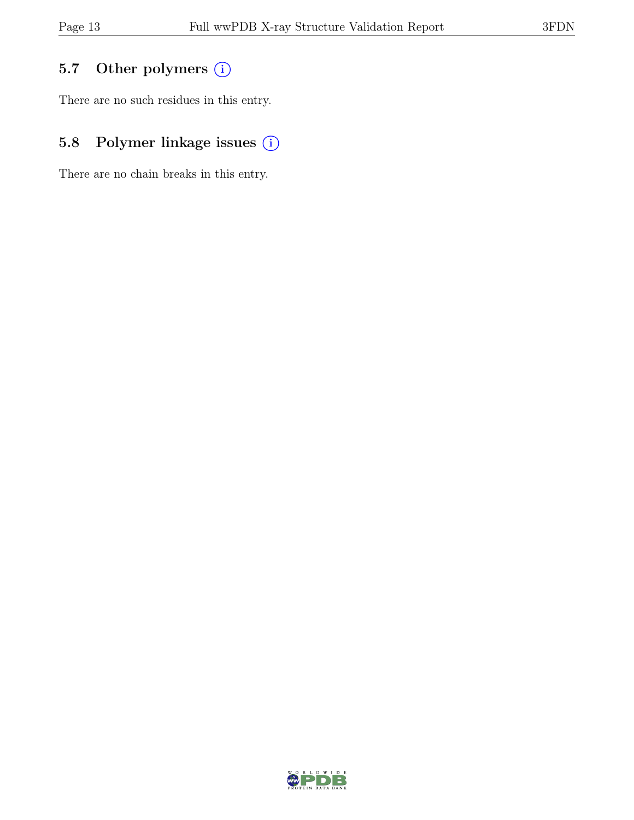# 5.7 Other polymers (i)

There are no such residues in this entry.

# 5.8 Polymer linkage issues  $(i)$

There are no chain breaks in this entry.

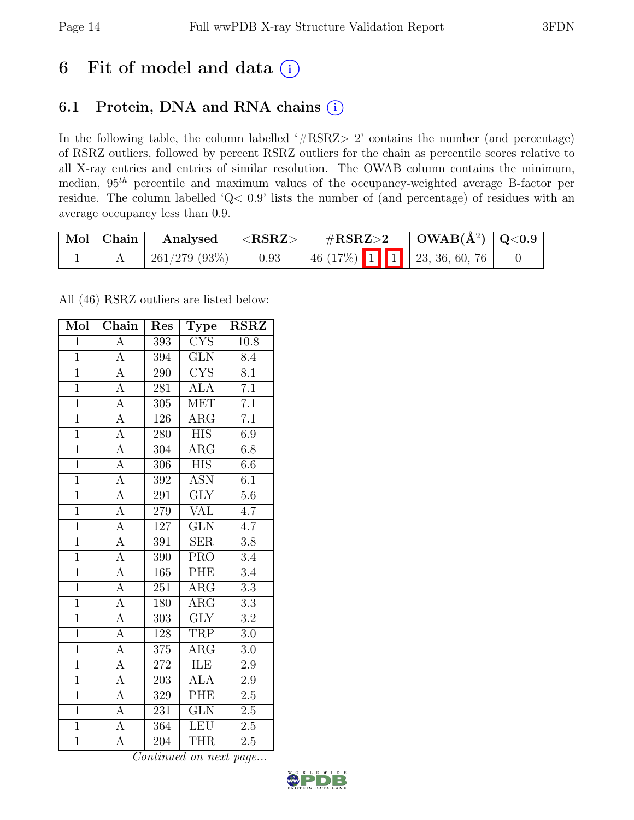# 6 Fit of model and data  $(i)$

## 6.1 Protein, DNA and RNA chains (i)

In the following table, the column labelled ' $\#\text{RSRZ}>2$ ' contains the number (and percentage) of RSRZ outliers, followed by percent RSRZ outliers for the chain as percentile scores relative to all X-ray entries and entries of similar resolution. The OWAB column contains the minimum, median, 95th percentile and maximum values of the occupancy-weighted average B-factor per residue. The column labelled 'Q< 0.9' lists the number of (and percentage) of residues with an average occupancy less than 0.9.

| Mol Chain | Analysed     | ${ <\bf RSRZ> }$ | $\rm \#RSRZ{>}2$            |  | $\vert$ OWAB( $A^2$ ) $\vert$ Q<0.9 |  |
|-----------|--------------|------------------|-----------------------------|--|-------------------------------------|--|
|           | 261/279(93%) | 0.93             | 46 (17%) 1 1 23, 36, 60, 76 |  |                                     |  |

All (46) RSRZ outliers are listed below:

| Mol            | Chain              | Res              | <b>Type</b>                     | <b>RSRZ</b>      |
|----------------|--------------------|------------------|---------------------------------|------------------|
| $\mathbf{1}$   | A                  | 393              | $\overline{\text{C} \text{YS}}$ | 10.8             |
| $\overline{1}$ | $\overline{A}$     | 394              | $\overline{\text{GLN}}$         | 8.4              |
| $\overline{1}$ | $\overline{A}$     | 290              | $\overline{\text{CYS}}$         | $\overline{8.1}$ |
| $\overline{1}$ | $\overline{A}$     | 281              | <b>ALA</b>                      | $\overline{7.1}$ |
| $\overline{1}$ | $\overline{A}$     | $\overline{305}$ | <b>MET</b>                      | $\overline{7.1}$ |
| $\overline{1}$ | $\overline{\rm A}$ | 126              | $\rm{ARG}$                      | $\overline{7.1}$ |
| $\overline{1}$ | $\overline{\rm A}$ | 280              | <b>HIS</b>                      | 6.9              |
| $\overline{1}$ | $\overline{A}$     | 304              | <b>ARG</b>                      | $\overline{6.8}$ |
| $\overline{1}$ | $\overline{A}$     | 306              | <b>HIS</b>                      | $6.6\,$          |
| $\overline{1}$ | $\overline{A}$     | 392              | $\overline{\mathrm{ASN}}$       | $\overline{6.1}$ |
| $\overline{1}$ | $\overline{\rm A}$ | $29\overline{1}$ | $\overline{\text{GLY}}$         | $5.6\,$          |
| $\overline{1}$ | $\overline{\rm A}$ | 279              | $\overline{\text{VAL}}$         | $\overline{4.7}$ |
| $\overline{1}$ | $\overline{A}$     | 127              | GLN                             | 4.7              |
| $\mathbf{1}$   | $\overline{A}$     | 391              | <b>SER</b>                      | 3.8              |
| $\overline{1}$ | $\overline{A}$     | 390              | <b>PRO</b>                      | 3.4              |
| $\overline{1}$ | $\overline{A}$     | 165              | PHE                             | 3.4              |
| $\overline{1}$ | $\overline{\rm A}$ | $\overline{251}$ | $\overline{\text{ARG}}$         | $\overline{3.3}$ |
| $\overline{1}$ | $\overline{A}$     | 180              | $\rm{ARG}$                      | $\overline{3.3}$ |
| $\overline{1}$ | $\overline{A}$     | 303              | <b>GLY</b>                      | $\overline{3.2}$ |
| $\overline{1}$ | $\overline{A}$     | 128              | <b>TRP</b>                      | 3.0              |
| $\overline{1}$ | $\overline{A}$     | 375              | ARG                             | 3.0              |
| $\overline{1}$ | $\overline{A}$     | 272              | <b>ILE</b>                      | $\overline{2.9}$ |
| $\overline{1}$ | $\overline{\rm A}$ | 203              | <b>ALA</b>                      | 2.9              |
| $\overline{1}$ | $\overline{A}$     | 329              | PHE                             | $\overline{2.5}$ |
| $\overline{1}$ | $\overline{A}$     | 231              | $\overline{\text{GLN}}$         | 2.5              |
| $\overline{1}$ | A                  | 364              | <b>LEU</b>                      | 2.5              |
| $\overline{1}$ | $\overline{A}$     | 204              | <b>THR</b>                      | 2.5              |

Continued on next page...

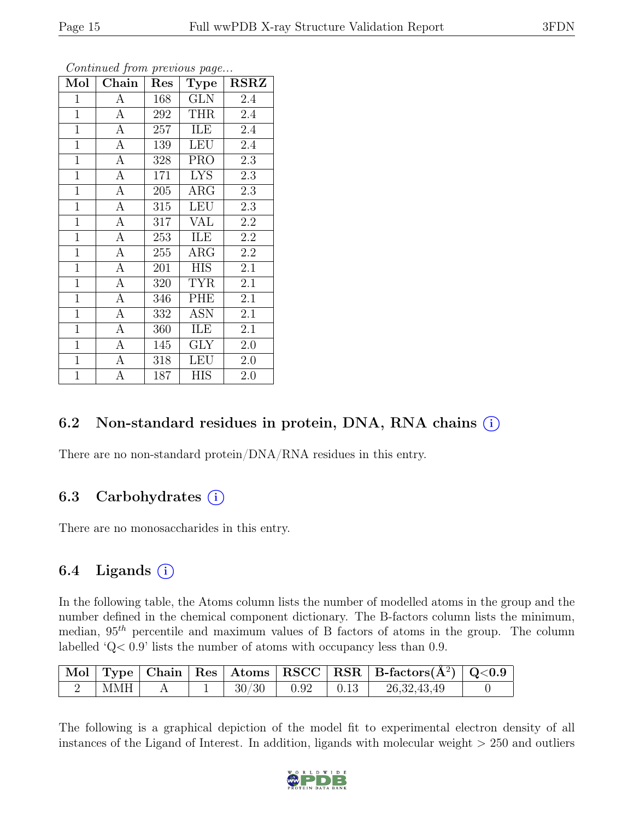| Mol            | Chain            | Res | <b>Type</b> | <b>RSRZ</b>      |
|----------------|------------------|-----|-------------|------------------|
| $\mathbf{1}$   | $\mathbf{A}$     | 168 | <b>GLN</b>  | 2.4              |
| $\mathbf{1}$   | $\overline{A}$   | 292 | <b>THR</b>  | $2.\overline{4}$ |
| $\mathbf{1}$   | $\mathbf{A}$     | 257 | ILE         | $2.\overline{4}$ |
| $\mathbf{1}$   | $\boldsymbol{A}$ | 139 | <b>LEU</b>  | 2.4              |
| $\mathbf{1}$   | $\overline{A}$   | 328 | <b>PRO</b>  | $2.\overline{3}$ |
| $\mathbf{1}$   | $\mathbf{A}$     | 171 | <b>LYS</b>  | 2.3              |
| $\mathbf{1}$   | $\mathbf{A}$     | 205 | $\rm{ARG}$  | 2.3              |
| $\overline{1}$ | $\overline{A}$   | 315 | <b>LEU</b>  | 2.3              |
| $\overline{1}$ | $\boldsymbol{A}$ | 317 | <b>VAL</b>  | 2.2              |
| $\mathbf{1}$   | $\overline{A}$   | 253 | ILE         | 2.2              |
| $\mathbf{1}$   | $\mathbf{A}$     | 255 | $\rm{ARG}$  | 2.2              |
| $\mathbf{1}$   | $\mathbf{A}$     | 201 | <b>HIS</b>  | $2.\overline{1}$ |
| $\mathbf{1}$   | $\mathbf{A}$     | 320 | <b>TYR</b>  | 2.1              |
| $\mathbf{1}$   | A                | 346 | PHE         | 2.1              |
| $\mathbf{1}$   | $\overline{A}$   | 332 | <b>ASN</b>  | 2.1              |
| $\mathbf{1}$   | $\mathbf{A}$     | 360 | ILE         | 2.1              |
| $\overline{1}$ | $\overline{A}$   | 145 | <b>GLY</b>  | 2.0              |
| $\mathbf{1}$   | $\mathbf{A}$     | 318 | <b>LEU</b>  | 2.0              |
| $\mathbf{1}$   | А                | 187 | <b>HIS</b>  | 2.0              |

Continued from previous page...

### 6.2 Non-standard residues in protein, DNA, RNA chains (i)

There are no non-standard protein/DNA/RNA residues in this entry.

### 6.3 Carbohydrates  $(i)$

There are no monosaccharides in this entry.

### 6.4 Ligands  $(i)$

In the following table, the Atoms column lists the number of modelled atoms in the group and the number defined in the chemical component dictionary. The B-factors column lists the minimum, median,  $95<sup>th</sup>$  percentile and maximum values of B factors of atoms in the group. The column labelled 'Q< 0.9' lists the number of atoms with occupancy less than 0.9.

|            |  |       |      |      | $\vert$ Mol $\vert$ Type $\vert$ Chain $\vert$ Res $\vert$ Atoms $\vert$ RSCC $\vert$ RSR $\vert$ B-factors( $A^2$ ) $\vert$ Q<0.9 $\vert$ |  |
|------------|--|-------|------|------|--------------------------------------------------------------------------------------------------------------------------------------------|--|
| <b>MMH</b> |  | 30/30 | 0.92 | 0.13 | 26, 32, 43, 49                                                                                                                             |  |

The following is a graphical depiction of the model fit to experimental electron density of all instances of the Ligand of Interest. In addition, ligands with molecular weight  $> 250$  and outliers